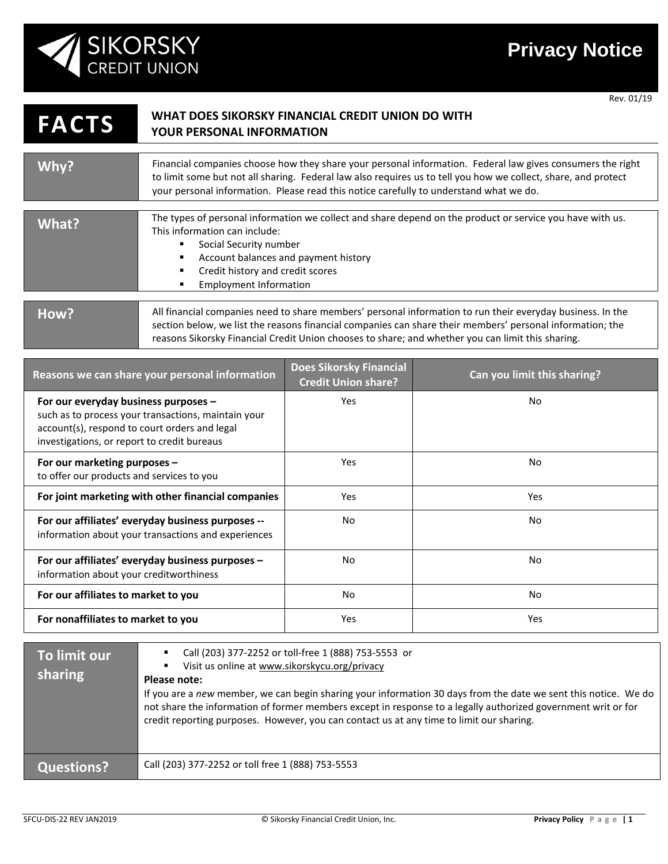

Rev. 01/19

## **FACTS WHAT DOES SIKORSKY FINANCIAL CREDIT UNION DO WITH YOUR PERSONAL INFORMATION**

| Why?      | Financial companies choose how they share your personal information. Federal law gives consumers the right<br>to limit some but not all sharing. Federal law also requires us to tell you how we collect, share, and protect<br>your personal information. Please read this notice carefully to understand what we do. |
|-----------|------------------------------------------------------------------------------------------------------------------------------------------------------------------------------------------------------------------------------------------------------------------------------------------------------------------------|
|           |                                                                                                                                                                                                                                                                                                                        |
| What?     | The types of personal information we collect and share depend on the product or service you have with us.<br>This information can include:<br>Social Security number<br>Account balances and payment history<br>٠<br>Credit history and credit scores<br>٠<br>Employment Information                                   |
| $H_{OM2}$ | All financial companies need to share members' personal information to run their everyday business. In the                                                                                                                                                                                                             |

## All financial companies need to share members' personal information to run their everyday business. In the section below, we list the reasons financial companies can share their members' personal information; the reasons Sikorsky Financial Credit Union chooses to share; and whether you can limit this sharing.

| Reasons we can share your personal information                                                                                                                                              | <b>Does Sikorsky Financial</b><br><b>Credit Union share?</b> | Can you limit this sharing? |
|---------------------------------------------------------------------------------------------------------------------------------------------------------------------------------------------|--------------------------------------------------------------|-----------------------------|
| For our everyday business purposes -<br>such as to process your transactions, maintain your<br>account(s), respond to court orders and legal<br>investigations, or report to credit bureaus | <b>Yes</b>                                                   | No                          |
| For our marketing purposes -<br>to offer our products and services to you                                                                                                                   | Yes                                                          | No                          |
| For joint marketing with other financial companies                                                                                                                                          | <b>Yes</b>                                                   | Yes                         |
| For our affiliates' everyday business purposes --<br>information about your transactions and experiences                                                                                    | No.                                                          | No.                         |
| For our affiliates' everyday business purposes -<br>information about your creditworthiness                                                                                                 | <b>No</b>                                                    | No                          |
| For our affiliates to market to you                                                                                                                                                         | <b>No</b>                                                    | No                          |
| For nonaffiliates to market to you                                                                                                                                                          | Yes                                                          | Yes                         |

| To limit our<br>sharing | Call (203) 377-2252 or toll-free 1 (888) 753-5553 or<br>Visit us online at www.sikorskycu.org/privacy<br>٠<br>Please note:<br>If you are a new member, we can begin sharing your information 30 days from the date we sent this notice. We do<br>not share the information of former members except in response to a legally authorized government writ or for<br>credit reporting purposes. However, you can contact us at any time to limit our sharing. |
|-------------------------|------------------------------------------------------------------------------------------------------------------------------------------------------------------------------------------------------------------------------------------------------------------------------------------------------------------------------------------------------------------------------------------------------------------------------------------------------------|
| Questions?              | Call (203) 377-2252 or toll free 1 (888) 753-5553                                                                                                                                                                                                                                                                                                                                                                                                          |